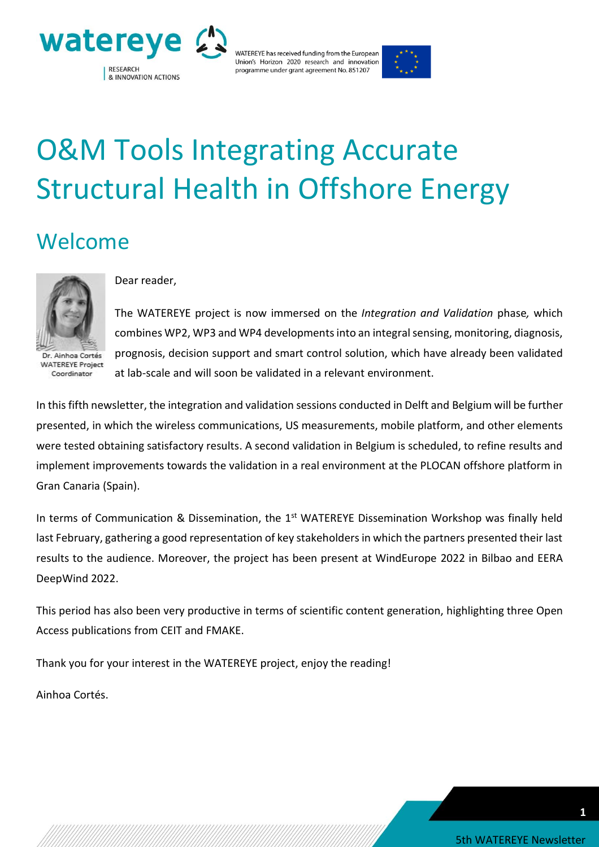



# O&M Tools Integrating Accurate Structural Health in Offshore Energy

### Welcome



Dr. Ainhoa Cortés **WATEREYE Project** Coordinator

#### Dear reader,

The WATEREYE project is now immersed on the *Integration and Validation* phase*,* which combines WP2, WP3 and WP4 developments into an integral sensing, monitoring, diagnosis, prognosis, decision support and smart control solution, which have already been validated at lab-scale and will soon be validated in a relevant environment.

In this fifth newsletter, the integration and validation sessions conducted in Delft and Belgium will be further presented, in which the wireless communications, US measurements, mobile platform, and other elements were tested obtaining satisfactory results. A second validation in Belgium is scheduled, to refine results and implement improvements towards the validation in a real environment at the PLOCAN offshore platform in Gran Canaria (Spain).

In terms of Communication & Dissemination, the 1<sup>st</sup> WATEREYE Dissemination Workshop was finally held last February, gathering a good representation of key stakeholders in which the partners presented their last results to the audience. Moreover, the project has been present at WindEurope 2022 in Bilbao and EERA DeepWind 2022.

This period has also been very productive in terms of scientific content generation, highlighting three Open Access publications from CEIT and FMAKE.

Thank you for your interest in the WATEREYE project, enjoy the reading!

Ainhoa Cortés.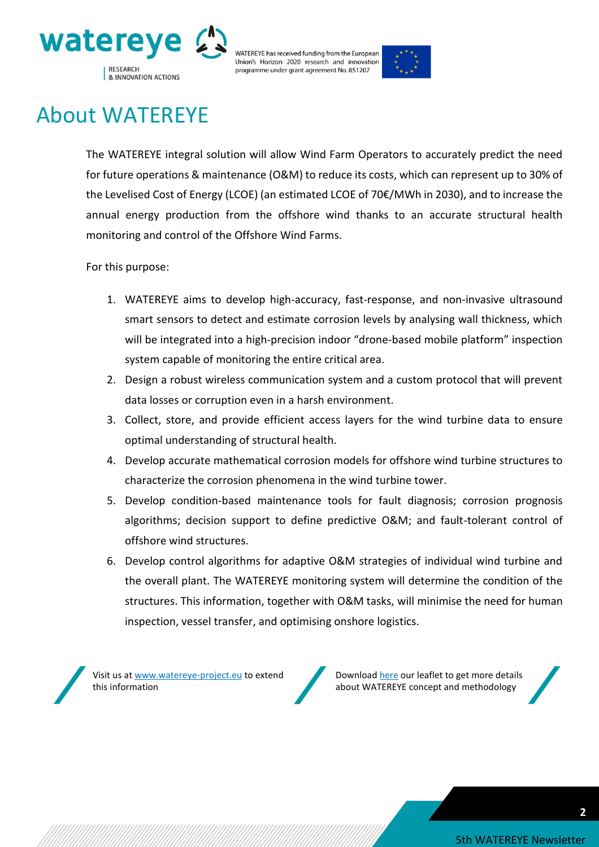



### About WATEREYE

The WATEREYE integral solution will allow Wind Farm Operators to accurately predict the need for future operations & maintenance (O&M) to reduce its costs, which can represent up to 30% of the Levelised Cost of Energy (LCOE) (an estimated LCOE of 70€/MWh in 2030), and to increase the annual energy production from the offshore wind thanks to an accurate structural health monitoring and control of the Offshore Wind Farms.

For this purpose:

- 1. WATEREYE aims to develop high-accuracy, fast-response, and non-invasive ultrasound smart sensors to detect and estimate corrosion levels by analysing wall thickness, which will be integrated into a high-precision indoor "drone-based mobile platform" inspection system capable of monitoring the entire critical area.
- 2. Design a robust wireless communication system and a custom protocol that will prevent data losses or corruption even in a harsh environment.
- 3. Collect, store, and provide efficient access layers for the wind turbine data to ensure optimal understanding of structural health.
- 4. Develop accurate mathematical corrosion models for offshore wind turbine structures to characterize the corrosion phenomena in the wind turbine tower.
- 5. Develop condition-based maintenance tools for fault diagnosis; corrosion prognosis algorithms; decision support to define predictive O&M; and fault-tolerant control of offshore wind structures.
- 6. Develop control algorithms for adaptive O&M strategies of individual wind turbine and the overall plant. The WATEREYE monitoring system will determine the condition of the structures. This information, together with O&M tasks, will minimise the need for human inspection, vessel transfer, and optimising onshore logistics.

Visit us at [www.watereye-project.eu](http://www.watereye-project.eu/) to extend this information



Download [here](https://watereye-project.eu/wp-content/uploads/2020/03/WATEREYE-Leaflet.pdf) our leaflet to get more details about WATEREYE concept and methodology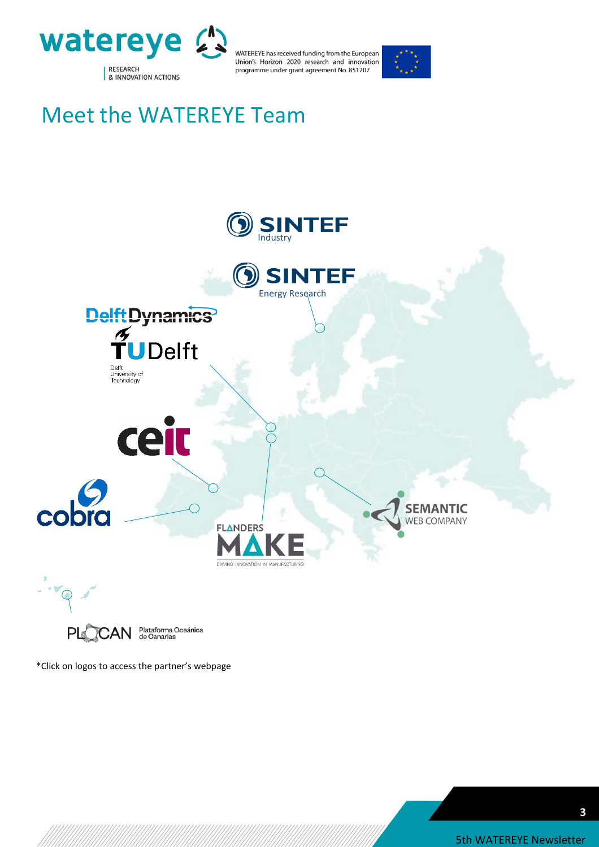



### Meet the WATEREYE Team



Plataforma Oceánica<br>de Canarias PL CAN

\*Click on logos to access the partner's webpage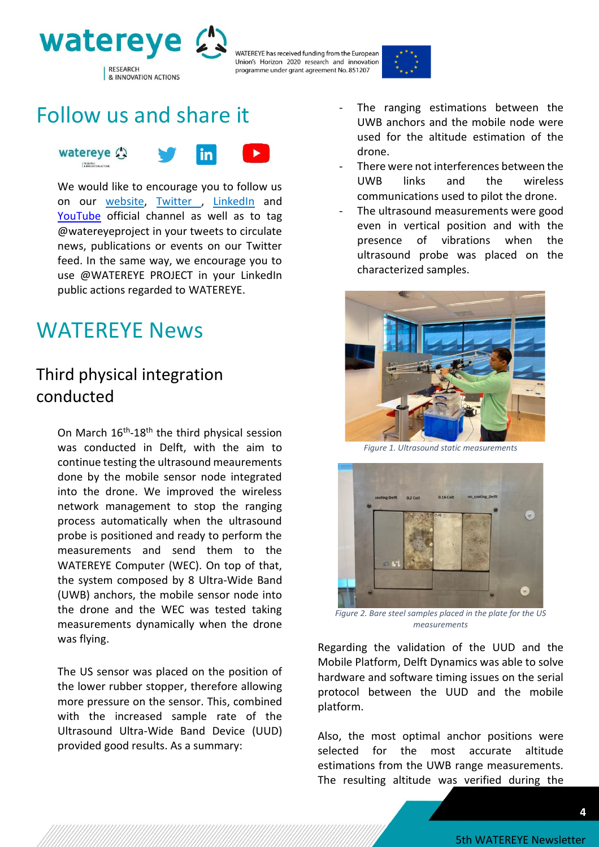



### Follow us and share it



We would like to encourage you to follow us on our [website,](https://watereye-project.eu/) [Twitter](https://twitter.com/watereyeproject) , [LinkedIn](https://www.linkedin.com/company/watereye-project) and [YouTube](https://www.youtube.com/channel/UCasJHqXzipYRmcFD5vxQiZA) official channel as well as to tag @watereyeproject in your tweets to circulate news, publications or events on our Twitter feed. In the same way, we encourage you to use @WATEREYE PROJECT in your LinkedIn public actions regarded to WATEREYE.

### WATEREYE News

#### Third physical integration conducted

On March  $16^{th}$ -18<sup>th</sup> the third physical session was conducted in Delft, with the aim to continue testing the ultrasound meaurements done by the mobile sensor node integrated into the drone. We improved the wireless network management to stop the ranging process automatically when the ultrasound probe is positioned and ready to perform the measurements and send them to the WATEREYE Computer (WEC). On top of that, the system composed by 8 Ultra-Wide Band (UWB) anchors, the mobile sensor node into the drone and the WEC was tested taking measurements dynamically when the drone was flying.

The US sensor was placed on the position of the lower rubber stopper, therefore allowing more pressure on the sensor. This, combined with the increased sample rate of the Ultrasound Ultra-Wide Band Device (UUD) provided good results. As a summary:

- The ranging estimations between the UWB anchors and the mobile node were used for the altitude estimation of the drone.
- There were not interferences between the UWB links and the wireless communications used to pilot the drone.
- The ultrasound measurements were good even in vertical position and with the presence of vibrations when the ultrasound probe was placed on the characterized samples.



*Figure 1. Ultrasound static measurements* 



*Figure 2. Bare steel samples placed in the plate for the US measurements* 

Regarding the validation of the UUD and the Mobile Platform, Delft Dynamics was able to solve hardware and software timing issues on the serial protocol between the UUD and the mobile platform.

Also, the most optimal anchor positions were selected for the most accurate altitude estimations from the UWB range measurements. The resulting altitude was verified during the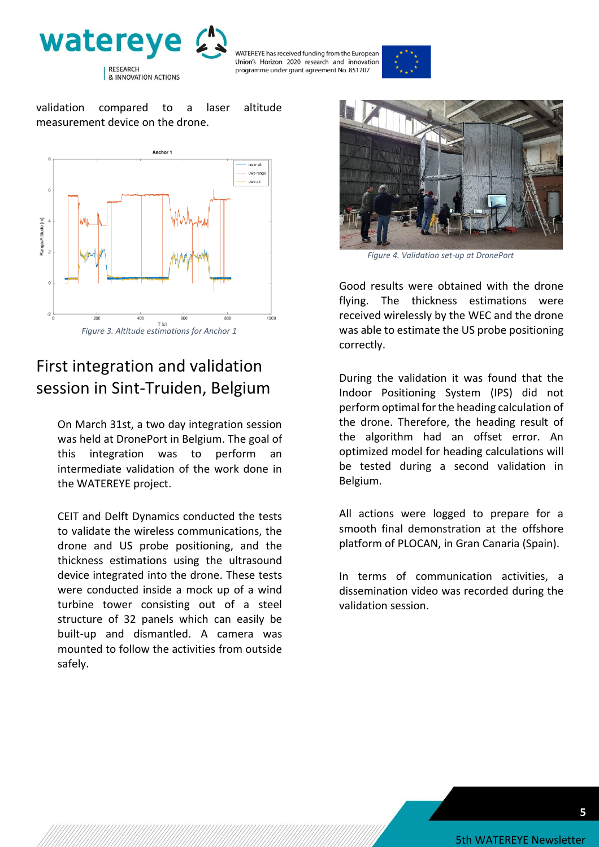



validation compared to a laser altitude measurement device on the drone.



#### First integration and validation session in Sint-Truiden, Belgium

On March 31st, a two day integration session was held at DronePort in Belgium. The goal of this integration was to perform an intermediate validation of the work done in the WATEREYE project.

CEIT and Delft Dynamics conducted the tests to validate the wireless communications, the drone and US probe positioning, and the thickness estimations using the ultrasound device integrated into the drone. These tests were conducted inside a mock up of a wind turbine tower consisting out of a steel structure of 32 panels which can easily be built-up and dismantled. A camera was mounted to follow the activities from outside safely.



*Figure 4. Validation set-up at DronePort*

Good results were obtained with the drone flying. The thickness estimations were received wirelessly by the WEC and the drone was able to estimate the US probe positioning correctly.

During the validation it was found that the Indoor Positioning System (IPS) did not perform optimal for the heading calculation of the drone. Therefore, the heading result of the algorithm had an offset error. An optimized model for heading calculations will be tested during a second validation in Belgium.

All actions were logged to prepare for a smooth final demonstration at the offshore platform of PLOCAN, in Gran Canaria (Spain).

In terms of communication activities, a dissemination video was recorded during the validation session.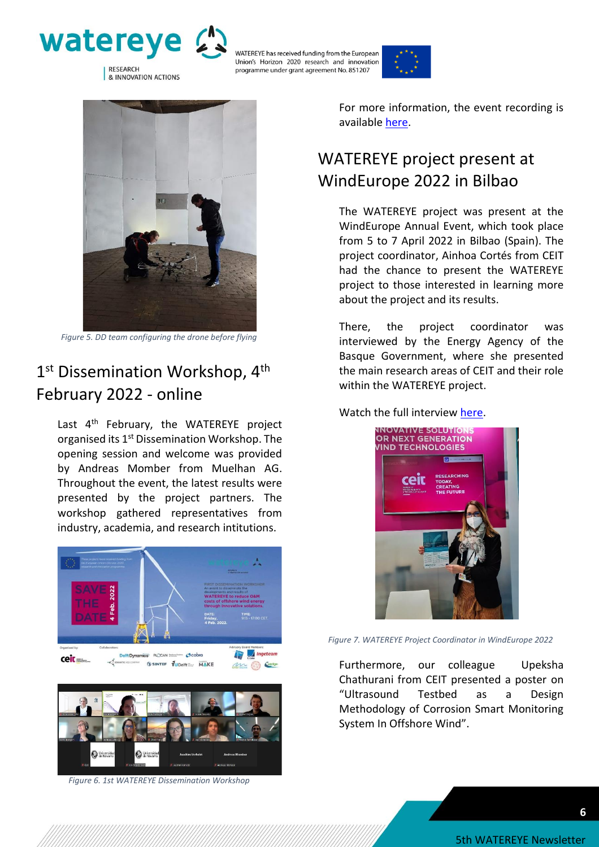





*Figure 5. DD team configuring the drone before flying* 

#### 1<sup>st</sup> Dissemination Workshop, 4<sup>th</sup> February 2022 - online

Last 4<sup>th</sup> February, the WATEREYE project organised its 1<sup>st</sup> Dissemination Workshop. The opening session and welcome was provided by Andreas Momber from Muelhan AG. Throughout the event, the latest results were presented by the project partners. The workshop gathered representatives from industry, academia, and research intitutions.



*Figure 6. 1st WATEREYE Dissemination Workshop*

For more information, the event recording is available [here.](https://www.youtube.com/watch?v=mX8wUoK52LE)

#### WATEREYE project present at WindEurope 2022 in Bilbao

The WATEREYE project was present at the WindEurope Annual Event, which took place from 5 to 7 April 2022 in Bilbao (Spain). The project coordinator, Ainhoa Cortés from CEIT had the chance to present the WATEREYE project to those interested in learning more about the project and its results.

There, the project coordinator was interviewed by the Energy Agency of the Basque Government, where she presented the main research areas of CEIT and their role within the WATEREYE project.

Watch the full interview [here.](https://www.youtube.com/watch?v=QBqVnschoqk)



*Figure 7. WATEREYE Project Coordinator in WindEurope 2022*

Furthermore, our colleague Upeksha Chathurani from CEIT presented a poster on "Ultrasound Testbed as a Design Methodology of Corrosion Smart Monitoring System In Offshore Wind".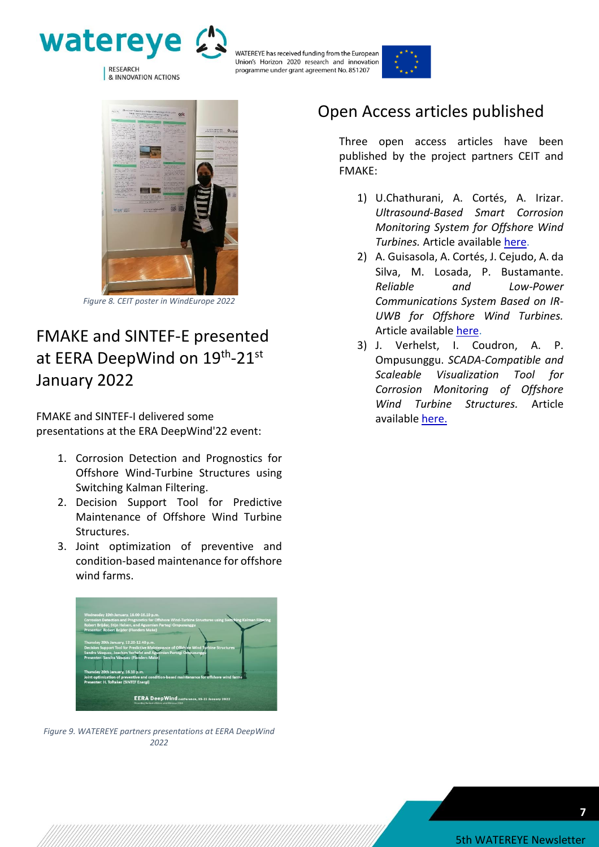





*Figure 8. CEIT poster in WindEurope 2022*

#### FMAKE and SINTEF-E presented at EERA DeepWind on 19<sup>th</sup>-21<sup>st</sup> January 2022

FMAKE and SINTEF-I delivered some presentations at the ERA DeepWind'22 event:

- 1. Corrosion Detection and Prognostics for Offshore Wind-Turbine Structures using Switching Kalman Filtering.
- 2. Decision Support Tool for Predictive Maintenance of Offshore Wind Turbine Structures.
- 3. Joint optimization of preventive and condition-based maintenance for offshore wind farms.



*Figure 9. WATEREYE partners presentations at EERA DeepWind 2022*

#### Open Access articles published

Three open access articles have been published by the project partners CEIT and FMAKE:

- 1) U.Chathurani, A. Cortés, A. Irizar. *Ultrasound-Based Smart Corrosion Monitoring System for Offshore Wind Turbines.* Article available [here.](https://www.mdpi.com/2076-3417/12/2/808/htm)
- 2) A. Guisasola, A. Cortés, J. Cejudo, A. da Silva, M. Losada, P. Bustamante. *Reliable and Low-Power Communications System Based on IR-UWB for Offshore Wind Turbines.* Article available [here.](https://www.mdpi.com/2079-9292/11/4/570)
- 3) J. Verhelst, I. Coudron, A. P. Ompusunggu. *SCADA-Compatible and Scaleable Visualization Tool for Corrosion Monitoring of Offshore Wind Turbine Structures.* Article available [here.](https://www.mdpi.com/2076-3417/12/3/1762)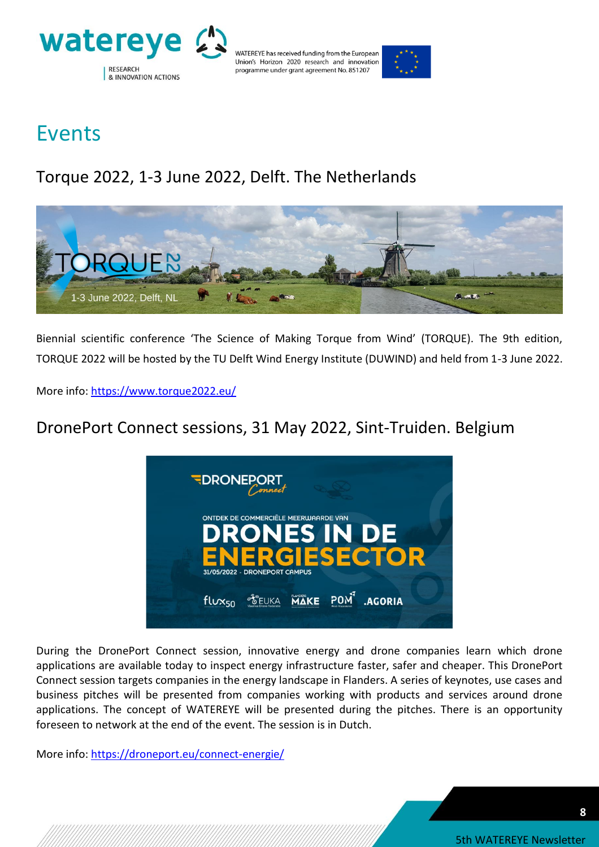



### Events

### Torque 2022, 1-3 June 2022, Delft. The Netherlands



Biennial scientific conference 'The Science of Making Torque from Wind' (TORQUE). The 9th edition, TORQUE 2022 will be hosted by the TU Delft Wind Energy Institute (DUWIND) and held from 1-3 June 2022.

More info:<https://www.torque2022.eu/>

#### DronePort Connect sessions, 31 May 2022, Sint-Truiden. Belgium



During the DronePort Connect session, innovative energy and drone companies learn which drone applications are available today to inspect energy infrastructure faster, safer and cheaper. This DronePort Connect session targets companies in the energy landscape in Flanders. A series of keynotes, use cases and business pitches will be presented from companies working with products and services around drone applications. The concept of WATEREYE will be presented during the pitches. There is an opportunity foreseen to network at the end of the event. The session is in Dutch.

More info:<https://droneport.eu/connect-energie/>